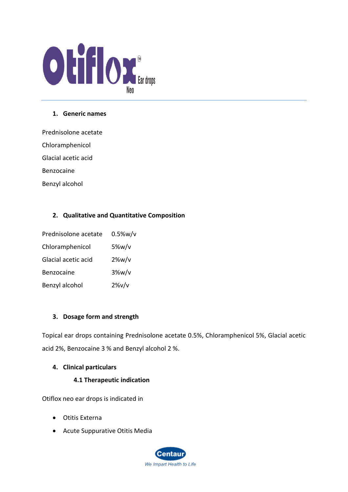

### **1. Generic names**

Prednisolone acetate

Chloramphenicol

Glacial acetic acid

Benzocaine

Benzyl alcohol

# **2. Qualitative and Quantitative Composition**

| Prednisolone acetate | $0.5\%$ w/v |
|----------------------|-------------|
| Chloramphenicol      | $5\%w/v$    |
| Glacial acetic acid  | $2\%w/v$    |
| Benzocaine           | $3\%w/v$    |
| Benzyl alcohol       | $2\%v/v$    |

# **3. Dosage form and strength**

Topical ear drops containing Prednisolone acetate 0.5%, Chloramphenicol 5%, Glacial acetic acid 2%, Benzocaine 3 % and Benzyl alcohol 2 %.

# **4. Clinical particulars**

# **4.1 Therapeutic indication**

Otiflox neo ear drops is indicated in

- Otitis Externa
- Acute Suppurative Otitis Media

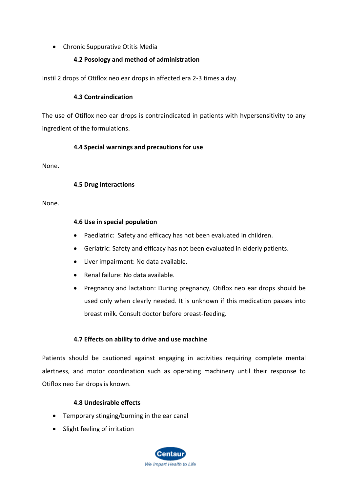# • Chronic Suppurative Otitis Media

## **4.2 Posology and method of administration**

Instil 2 drops of Otiflox neo ear drops in affected era 2-3 times a day.

### **4.3 Contraindication**

The use of Otiflox neo ear drops is contraindicated in patients with hypersensitivity to any ingredient of the formulations.

### **4.4 Special warnings and precautions for use**

None.

### **4.5 Drug interactions**

None.

### **4.6 Use in special population**

- Paediatric: Safety and efficacy has not been evaluated in children.
- Geriatric: Safety and efficacy has not been evaluated in elderly patients.
- Liver impairment: No data available.
- Renal failure: No data available.
- Pregnancy and lactation: During pregnancy, Otiflox neo ear drops should be used only when clearly needed. It is unknown if this medication passes into breast milk. Consult doctor before breast-feeding.

# **4.7 Effects on ability to drive and use machine**

Patients should be cautioned against engaging in activities requiring complete mental alertness, and motor coordination such as operating machinery until their response to Otiflox neo Ear drops is known.

# **4.8 Undesirable effects**

- Temporary stinging/burning in the ear canal
- Slight feeling of irritation

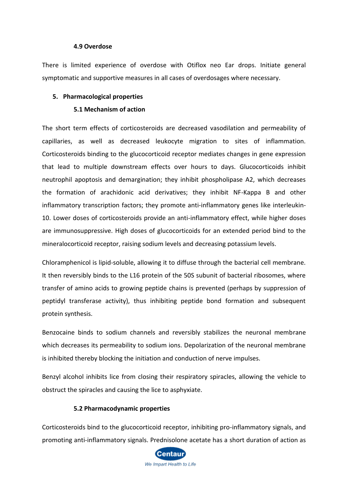#### **4.9 Overdose**

There is limited experience of overdose with Otiflox neo Ear drops. Initiate general symptomatic and supportive measures in all cases of overdosages where necessary.

### **5. Pharmacological properties**

#### **5.1 Mechanism of action**

The short term effects of corticosteroids are decreased vasodilation and permeability of capillaries, as well as decreased leukocyte migration to sites of inflammation. Corticosteroids binding to the glucocorticoid receptor mediates changes in gene expression that lead to multiple downstream effects over hours to days. Glucocorticoids inhibit neutrophil apoptosis and demargination; they inhibit phospholipase A2, which decreases the formation of arachidonic acid derivatives; they inhibit NF-Kappa B and other inflammatory transcription factors; they promote anti-inflammatory genes like interleukin-10. Lower doses of corticosteroids provide an anti-inflammatory effect, while higher doses are immunosuppressive. High doses of glucocorticoids for an extended period bind to the mineralocorticoid receptor, raising sodium levels and decreasing potassium levels.

Chloramphenicol is lipid-soluble, allowing it to diffuse through the bacterial cell membrane. It then reversibly binds to the L16 protein of the 50S subunit of bacterial ribosomes, where transfer of amino acids to growing peptide chains is prevented (perhaps by suppression of peptidyl transferase activity), thus inhibiting peptide bond formation and subsequent protein synthesis.

Benzocaine binds to sodium channels and reversibly stabilizes the neuronal membrane which decreases its permeability to sodium ions. Depolarization of the neuronal membrane is inhibited thereby blocking the initiation and conduction of nerve impulses.

Benzyl alcohol inhibits lice from closing their respiratory spiracles, allowing the vehicle to obstruct the spiracles and causing the lice to asphyxiate.

### **5.2 Pharmacodynamic properties**

Corticosteroids bind to the glucocorticoid receptor, inhibiting pro-inflammatory signals, and promoting anti-inflammatory signals. Prednisolone acetate has a short duration of action as

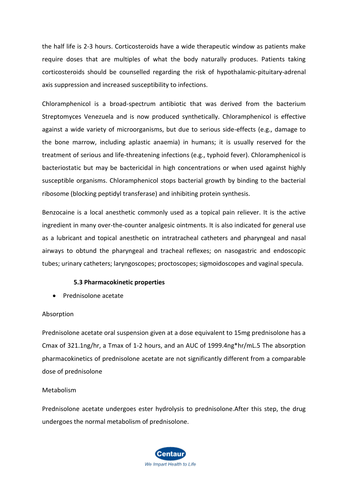the half life is 2-3 hours. Corticosteroids have a wide therapeutic window as patients make require doses that are multiples of what the body naturally produces. Patients taking corticosteroids should be counselled regarding the risk of hypothalamic-pituitary-adrenal axis suppression and increased susceptibility to infections.

Chloramphenicol is a broad-spectrum antibiotic that was derived from the bacterium Streptomyces Venezuela and is now produced synthetically. Chloramphenicol is effective against a wide variety of microorganisms, but due to serious side-effects (e.g., damage to the bone marrow, including aplastic anaemia) in humans; it is usually reserved for the treatment of serious and life-threatening infections (e.g., typhoid fever). Chloramphenicol is bacteriostatic but may be bactericidal in high concentrations or when used against highly susceptible organisms. Chloramphenicol stops bacterial growth by binding to the bacterial ribosome (blocking peptidyl transferase) and inhibiting protein synthesis.

Benzocaine is a local anesthetic commonly used as a topical pain reliever. It is the active ingredient in many over-the-counter analgesic ointments. It is also indicated for general use as a lubricant and topical anesthetic on intratracheal catheters and pharyngeal and nasal airways to obtund the pharyngeal and tracheal reflexes; on nasogastric and endoscopic tubes; urinary catheters; laryngoscopes; proctoscopes; sigmoidoscopes and vaginal specula.

### **5.3 Pharmacokinetic properties**

• Prednisolone acetate

#### Absorption

Prednisolone acetate oral suspension given at a dose equivalent to 15mg prednisolone has a Cmax of 321.1ng/hr, a Tmax of 1-2 hours, and an AUC of 1999.4ng\*hr/mL.5 The absorption pharmacokinetics of prednisolone acetate are not significantly different from a comparable dose of prednisolone

#### Metabolism

Prednisolone acetate undergoes ester hydrolysis to prednisolone.After this step, the drug undergoes the normal metabolism of prednisolone.

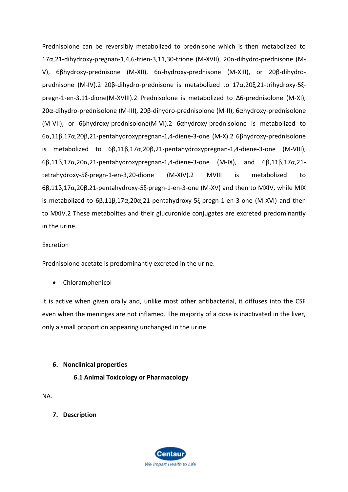Prednisolone can be reversibly metabolized to prednisone which is then metabolized to 17α,21-dihydroxy-pregnan-1,4,6-trien-3,11,30-trione (M-XVII), 20α-dihydro-prednisone (M-V), 6βhydroxy-prednisone (M-XII), 6α-hydroxy-prednisone (M-XIII), or 20β-dihydroprednisone (M-IV).2 20β-dihydro-prednisone is metabolized to 17α,20ξ,21-trihydroxy-5ξpregn-1-en-3,11-dione(M-XVIII).2 Prednisolone is metabolized to Δ6-prednisolone (M-XI), 20α-dihydro-prednisolone (M-III), 20β-dihydro-prednisolone (M-II), 6αhydroxy-prednisolone (M-VII), or 6βhydroxy-prednisolone(M-VI).2 6αhydroxy-prednisolone is metabolized to 6α,11β,17α,20β,21-pentahydroxypregnan-1,4-diene-3-one (M-X).2 6βhydroxy-prednisolone is metabolized to 6β,11β,17α,20β,21-pentahydroxypregnan-1,4-diene-3-one (M-VIII), 6β,11β,17α,20α,21-pentahydroxypregnan-1,4-diene-3-one (M-IX), and 6β,11β,17α,21 tetrahydroxy-5ξ-pregn-1-en-3,20-dione (M-XIV).2 MVIII is metabolized to 6β,11β,17α,20β,21-pentahydroxy-5ξ-pregn-1-en-3-one (M-XV) and then to MXIV, while MIX is metabolized to 6β,11β,17α,20α,21-pentahydroxy-5ξ-pregn-1-en-3-one (M-XVI) and then to MXIV.2 These metabolites and their glucuronide conjugates are excreted predominantly in the urine.

### Excretion

Prednisolone acetate is predominantly excreted in the urine.

• Chloramphenicol

It is active when given orally and, unlike most other antibacterial, it diffuses into the CSF even when the meninges are not inflamed. The majority of a dose is inactivated in the liver, only a small proportion appearing unchanged in the urine.

### **6. Nonclinical properties**

**6.1 Animal Toxicology or Pharmacology**

NA.

**7. Description**

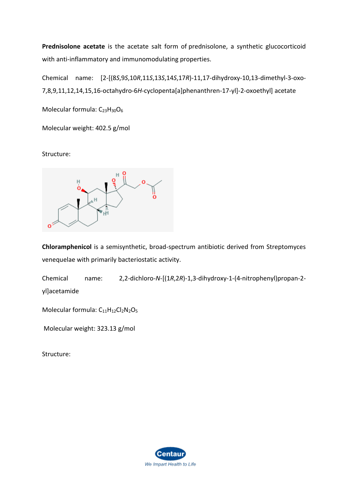**Prednisolone acetate** is the acetate salt form of [prednisolone,](https://pubchem.ncbi.nlm.nih.gov/compound/prednisolone) a synthetic glucocorticoid with anti-inflammatory and immunomodulating properties.

Chemical name: [2-[(8*S*,9*S*,10*R*,11*S*,13*S*,14*S*,17*R*)-11,17-dihydroxy-10,13-dimethyl-3-oxo-7,8,9,11,12,14,15,16-octahydro-6*H*-cyclopenta[a]phenanthren-17-yl]-2-oxoethyl] acetate

Molecular formula:  $C_{23}H_{30}O_6$ 

Molecular weight: 402.5 g/mol

Structure:



**Chloramphenicol** is a semisynthetic, broad-spectrum antibiotic derived from Streptomyces venequelae with primarily bacteriostatic activity.

Chemical name: 2,2-dichloro-*N*-[(1*R*,2*R*)-1,3-dihydroxy-1-(4-nitrophenyl)propan-2 yl]acetamide

Molecular formula:  $C_{11}H_{12}Cl_2N_2O_5$  $C_{11}H_{12}Cl_2N_2O_5$  $C_{11}H_{12}Cl_2N_2O_5$ 

Molecular weight: 323.13 g/mol

Structure:

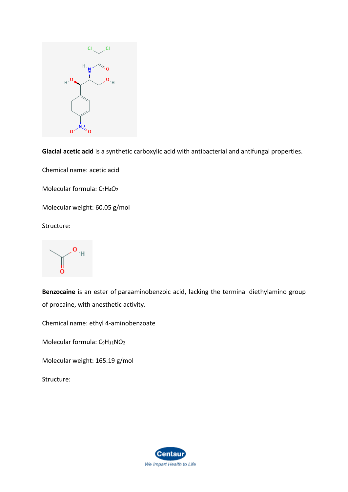

**Glacial acetic acid** is a synthetic carboxylic acid with antibacterial and antifungal properties.

Chemical name: acetic acid

Molecular formula:  $C_2H_4O_2$  $C_2H_4O_2$  $C_2H_4O_2$ 

Molecular weight: 60.05 g/mol

Structure:

o ١H

**Benzocaine** is an ester of [paraaminobenzoic acid,](https://pubchem.ncbi.nlm.nih.gov/compound/para-aminobenzoic%20acid) lacking the terminal diethylamino group of [procaine,](https://pubchem.ncbi.nlm.nih.gov/compound/procaine) with anesthetic activity.

Chemical name: ethyl 4-aminobenzoate

Molecular formula: C<sub>9</sub>H<sub>11</sub>[NO](https://pubchem.ncbi.nlm.nih.gov/#query=C9H11NO2)<sub>2</sub>

Molecular weight: 165.19 g/mol

Structure:

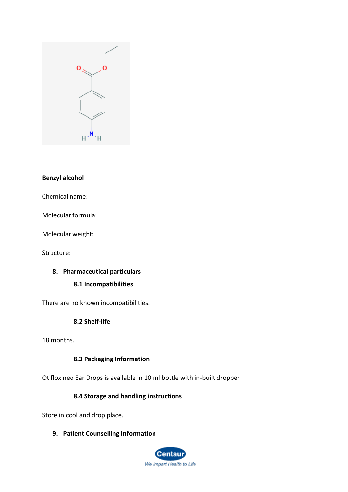

### **Benzyl alcohol**

Chemical name:

Molecular formula:

Molecular weight:

Structure:

### **8. Pharmaceutical particulars**

### **8.1 Incompatibilities**

There are no known incompatibilities.

### **8.2 Shelf-life**

18 months.

### **8.3 Packaging Information**

Otiflox neo Ear Drops is available in 10 ml bottle with in-built dropper

### **8.4 Storage and handling instructions**

Store in cool and drop place.

### **9. Patient Counselling Information**

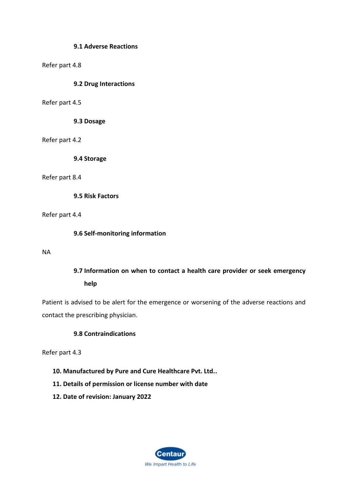### **9.1 Adverse Reactions**

### Refer part 4.8

### **9.2 Drug Interactions**

### Refer part 4.5

**9.3 Dosage**

Refer part 4.2

**9.4 Storage**

Refer part 8.4

**9.5 Risk Factors**

Refer part 4.4

**9.6 Self-monitoring information**

NA

# **9.7 Information on when to contact a health care provider or seek emergency help**

Patient is advised to be alert for the emergence or worsening of the adverse reactions and contact the prescribing physician.

# **9.8 Contraindications**

Refer part 4.3

- **10. Manufactured by Pure and Cure Healthcare Pvt. Ltd..**
- **11. Details of permission or license number with date**
- **12. Date of revision: January 2022**